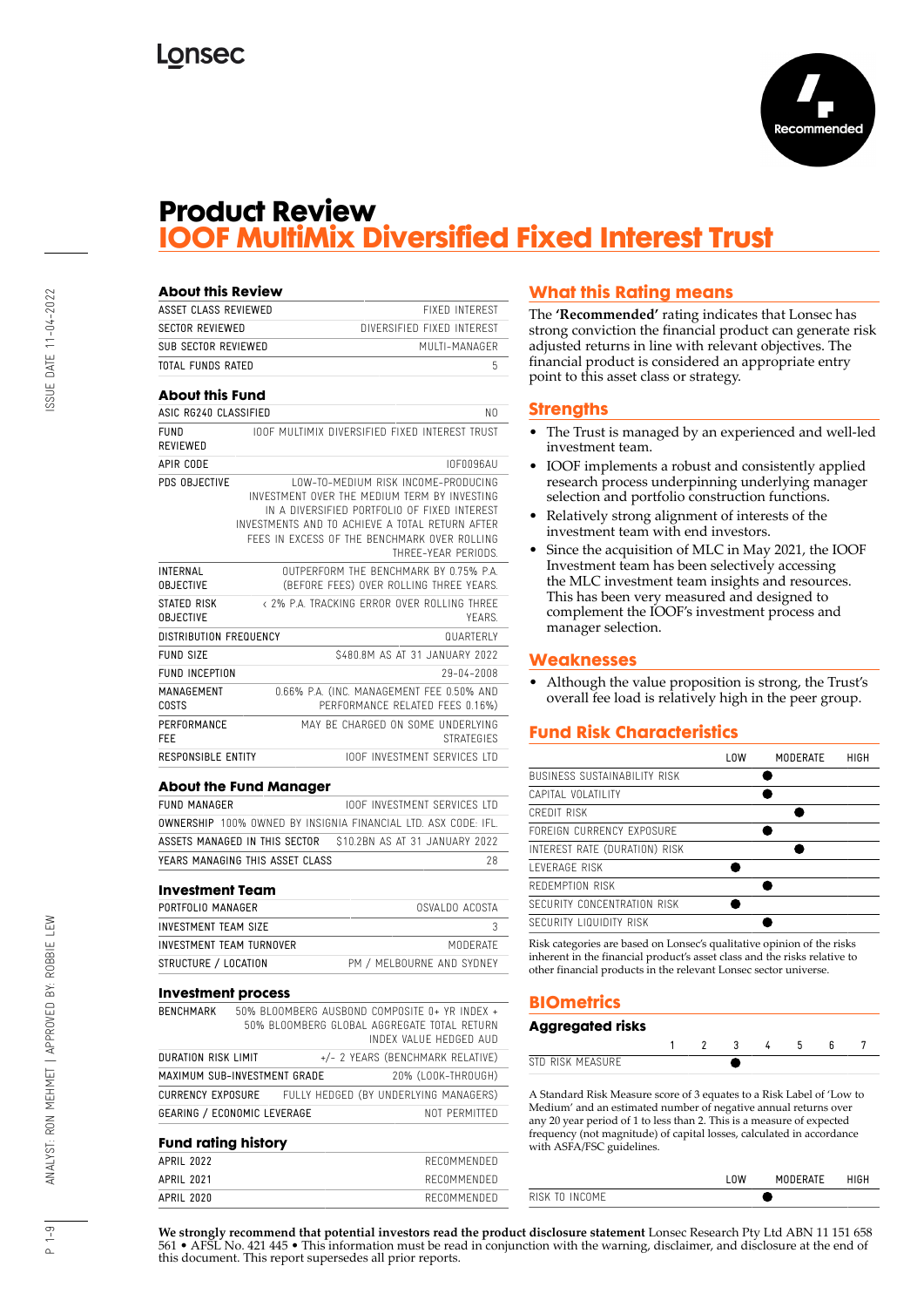

### **Product Review IOOF MultiMix Diversified Fixed Interest Trust**

| <b>About this Review</b><br><b>ASSET CLASS REVIEWED</b> |                                 | <b>FIXED INTEREST</b>                                                                        |
|---------------------------------------------------------|---------------------------------|----------------------------------------------------------------------------------------------|
| <b>SECTOR REVIEWED</b>                                  |                                 | DIVERSIFIED FIXED INTEREST                                                                   |
| SUB SECTOR REVIEWED                                     |                                 | MULTI-MANAGER                                                                                |
| TOTAL FUNDS RATED                                       |                                 | 5                                                                                            |
|                                                         |                                 |                                                                                              |
| <b>About this Fund</b>                                  |                                 |                                                                                              |
| ASIC RG240 CLASSIFIED                                   |                                 | N0                                                                                           |
| <b>FUND</b>                                             |                                 | TOOF MULTIMIX DIVERSIFIED FIXED INTEREST TRUST                                               |
| REVIEWED                                                |                                 |                                                                                              |
| APIR CODE                                               |                                 | <b>IOF0096AU</b>                                                                             |
| PDS OBJECTIVE                                           |                                 | LOW-TO-MEDIUM RISK INCOME-PRODUCING                                                          |
|                                                         |                                 | INVESTMENT OVER THE MEDIUM TERM BY INVESTING<br>IN A DIVERSIFIED PORTFOLIO OF FIXED INTEREST |
|                                                         |                                 | INVESTMENTS AND TO ACHIEVE A TOTAL RETURN AFTER                                              |
|                                                         |                                 | FEES IN EXCESS OF THE BENCHMARK OVER ROLLING                                                 |
|                                                         |                                 | THREE-YEAR PERIODS.                                                                          |
| INTERNAL                                                |                                 | OUTPERFORM THE BENCHMARK BY 0.75% P.A.                                                       |
| <b>OBJECTIVE</b>                                        |                                 | (BEFORE FEES) OVER ROLLING THREE YEARS.                                                      |
| STATED RISK                                             |                                 | < 2% P.A. TRACKING FRROR OVER ROLLING THREE                                                  |
| <b>OBJECTIVE</b>                                        |                                 | YFARS.                                                                                       |
| DISTRIBUTION FREQUENCY                                  |                                 | QUARTERLY                                                                                    |
| <b>FUND SIZE</b>                                        |                                 | \$480.8M AS AT 31 JANUARY 2022                                                               |
| FUND INCEPTION                                          |                                 | 29-04-2008                                                                                   |
| MANAGEMENT<br>COSTS                                     |                                 | 0.66% P.A. (INC. MANAGEMENT FEE 0.50% AND<br>PERFORMANCE RELATED FEES 0.16%)                 |
| PERFORMANCE<br>FEE                                      |                                 | MAY BE CHARGED ON SOME UNDERLYING<br><b>STRATEGIES</b>                                       |
| RESPONSIBLE ENTITY                                      |                                 | <b>IOOF INVESTMENT SERVICES LTD</b>                                                          |
|                                                         |                                 |                                                                                              |
|                                                         | <b>About the Fund Manager</b>   |                                                                                              |
| <b>FUND MANAGER</b>                                     |                                 | <b>IOOF INVESTMENT SERVICES LTD</b>                                                          |
|                                                         |                                 | <b>OWNERSHIP</b> 100% OWNED BY INSIGNIA FINANCIAL LTD. ASX CODE: IFL.                        |
|                                                         | ASSETS MANAGED IN THIS SECTOR   | \$10.2BN AS AT 31 JANUARY 2022                                                               |
|                                                         | YEARS MANAGING THIS ASSET CLASS | 28                                                                                           |
| <b>Investment Team</b>                                  |                                 |                                                                                              |
| PORTFOLIO MANAGER                                       |                                 | OSVALDO ACOSTA                                                                               |
| INVESTMENT TEAM SIZE                                    |                                 | 3                                                                                            |
| INVESTMENT TEAM TURNOVER                                |                                 | MODERATE                                                                                     |
| STRUCTURE / LOCATION                                    |                                 | PM / MELBOURNE AND SYDNEY                                                                    |
|                                                         |                                 |                                                                                              |
| <b>Investment process</b>                               |                                 |                                                                                              |
| <b>BENCHMARK</b>                                        |                                 | 50% BLOOMBERG AUSBOND COMPOSITE 0+ YR INDEX +                                                |
|                                                         |                                 | 50% BLOOMBERG GLOBAL AGGREGATE TOTAL RETURN                                                  |

DURATION RISK LIMIT +/- 2 YEARS (BENCHMARK RELATIVE) MAXIMUM SUB-INVESTMENT GRADE 20% (LOOK-THROUGH) CURRENCY EXPOSURE FULLY HEDGED (BY UNDERLYING MANAGERS) GEARING / ECONOMIC LEVERAGE NOT PERMITTED

APRIL 2022 RECOMMENDED APRIL 2021 RECOMMENDED APRIL 2020 RECOMMENDED

**Fund rating history**

### **What this Rating means**

The **'Recommended'** rating indicates that Lonsec has strong conviction the financial product can generate risk adjusted returns in line with relevant objectives. The financial product is considered an appropriate entry point to this asset class or strategy.

### **Strengths**

- The Trust is managed by an experienced and well-led investment team.
- IOOF implements a robust and consistently applied research process underpinning underlying manager selection and portfolio construction functions.
- Relatively strong alignment of interests of the investment team with end investors.
- Since the acquisition of MLC in May 2021, the IOOF Investment team has been selectively accessing the MLC investment team insights and resources. This has been very measured and designed to complement the IOOF's investment process and manager selection.

### **Weaknesses**

• Although the value proposition is strong, the Trust's overall fee load is relatively high in the peer group.

### **Fund Risk Characteristics**

|                               | l OW | MODERATE | HIGH |
|-------------------------------|------|----------|------|
| BUSINESS SUSTAINABILITY RISK  |      |          |      |
| CAPITAL VOLATILITY            |      |          |      |
| CREDIT RISK                   |      |          |      |
| FORFIGN CURRENCY EXPOSURE     |      |          |      |
| INTEREST RATE (DURATION) RISK |      |          |      |
| I FVFRAGF RISK                |      |          |      |
| REDEMPTION RISK               |      |          |      |
| SECURITY CONCENTRATION RISK   |      |          |      |
| SECURITY LIQUIDITY RISK       |      |          |      |

Risk categories are based on Lonsec's qualitative opinion of the risks inherent in the financial product's asset class and the risks relative to other financial products in the relevant Lonsec sector universe.

### **BIOmetrics**

### **Aggregated risks**

| NЛ<br>$\mathcal{L}$<br>וש |  |  |  |  |
|---------------------------|--|--|--|--|

A Standard Risk Measure score of 3 equates to a Risk Label of 'Low to Medium' and an estimated number of negative annual returns over any 20 year period of 1 to less than 2. This is a measure of expected frequency (not magnitude) of capital losses, calculated in accordance with ASFA/FSC guidelines.

| MODERATE |  |
|----------|--|
|          |  |
|          |  |

**We strongly recommend that potential investors read the product disclosure statement** Lonsec Research Pty Ltd ABN 11 151 658 561 • AFSL No. 421 445 • This information must be read in conjunction with the warning, disclaimer, and disclosure at the end of this document. This report supersedes all prior reports.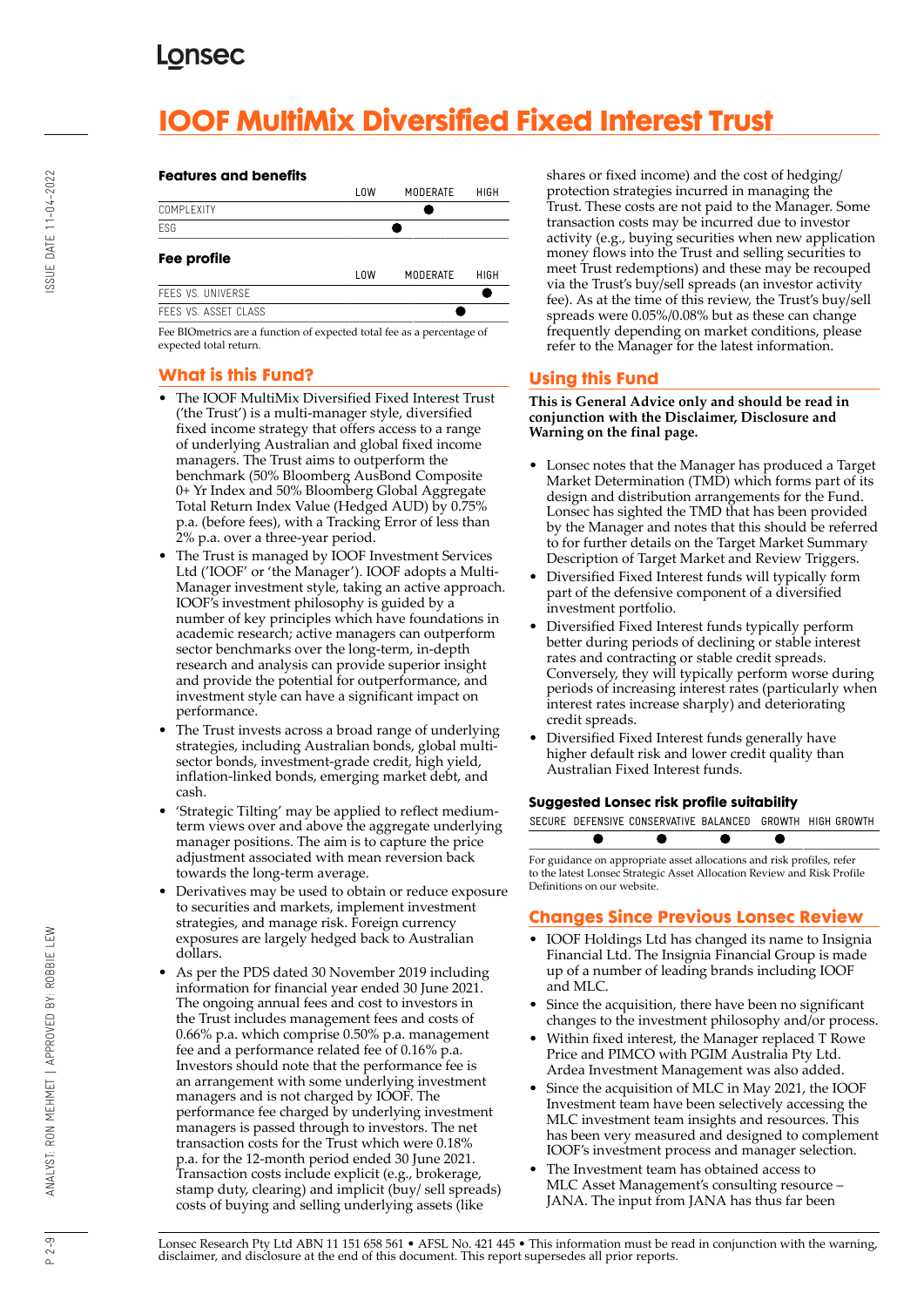# **IOOF MultiMix Diversified Fixed Interest Trust**

# ISSUE DATE 11-04-2022

#### **Features and benefits**



Fee BIOmetrics are a function of expected total fee as a percentage of expected total return.

### **What is this Fund?**

- The IOOF MultiMix Diversified Fixed Interest Trust ('the Trust') is a multi-manager style, diversified fixed income strategy that offers access to a range of underlying Australian and global fixed income managers. The Trust aims to outperform the benchmark (50% Bloomberg AusBond Composite 0+ Yr Index and 50% Bloomberg Global Aggregate Total Return Index Value (Hedged AUD) by 0.75% p.a. (before fees), with a Tracking Error of less than 2% p.a. over a three-year period.
- The Trust is managed by IOOF Investment Services Ltd ('IOOF' or 'the Manager'). IOOF adopts a Multi-Manager investment style, taking an active approach. IOOF's investment philosophy is guided by a number of key principles which have foundations in academic research; active managers can outperform sector benchmarks over the long-term, in-depth research and analysis can provide superior insight and provide the potential for outperformance, and investment style can have a significant impact on performance.
- The Trust invests across a broad range of underlying strategies, including Australian bonds, global multisector bonds, investment-grade credit, high yield, inflation-linked bonds, emerging market debt, and cash.
- 'Strategic Tilting' may be applied to reflect mediumterm views over and above the aggregate underlying manager positions. The aim is to capture the price adjustment associated with mean reversion back towards the long-term average.
- Derivatives may be used to obtain or reduce exposure to securities and markets, implement investment strategies, and manage risk. Foreign currency exposures are largely hedged back to Australian dollars.
- As per the PDS dated 30 November 2019 including information for financial year ended 30 June 2021. The ongoing annual fees and cost to investors in the Trust includes management fees and costs of 0.66% p.a. which comprise 0.50% p.a. management fee and a performance related fee of 0.16% p.a. Investors should note that the performance fee is an arrangement with some underlying investment managers and is not charged by IOOF. The performance fee charged by underlying investment managers is passed through to investors. The net transaction costs for the Trust which were 0.18% p.a. for the 12-month period ended 30 June 2021. Transaction costs include explicit (e.g., brokerage, stamp duty, clearing) and implicit (buy/ sell spreads) costs of buying and selling underlying assets (like

shares or fixed income) and the cost of hedging/ protection strategies incurred in managing the Trust. These costs are not paid to the Manager. Some transaction costs may be incurred due to investor activity (e.g., buying securities when new application money flows into the Trust and selling securities to meet Trust redemptions) and these may be recouped via the Trust's buy/sell spreads (an investor activity fee). As at the time of this review, the Trust's buy/sell spreads were 0.05%/0.08% but as these can change frequently depending on market conditions, please refer to the Manager for the latest information.

### **Using this Fund**

**This is General Advice only and should be read in conjunction with the Disclaimer, Disclosure and Warning on the final page.**

- Lonsec notes that the Manager has produced a Target Market Determination (TMD) which forms part of its design and distribution arrangements for the Fund. Lonsec has sighted the TMD that has been provided by the Manager and notes that this should be referred to for further details on the Target Market Summary Description of Target Market and Review Triggers.
- Diversified Fixed Interest funds will typically form part of the defensive component of a diversified investment portfolio.
- Diversified Fixed Interest funds typically perform better during periods of declining or stable interest rates and contracting or stable credit spreads. Conversely, they will typically perform worse during periods of increasing interest rates (particularly when interest rates increase sharply) and deteriorating credit spreads.
- Diversified Fixed Interest funds generally have higher default risk and lower credit quality than Australian Fixed Interest funds.

### **Suggested Lonsec risk profile suitability**

|  | SECURE DEFENSIVE CONSERVATIVE BALANCED GROWTH HIGH GROWTH |  |  |
|--|-----------------------------------------------------------|--|--|
|  |                                                           |  |  |

For guidance on appropriate asset allocations and risk profiles, refer to the latest Lonsec Strategic Asset Allocation Review and Risk Profile Definitions on our website.

### **Changes Since Previous Lonsec Review**

- IOOF Holdings Ltd has changed its name to Insignia Financial Ltd. The Insignia Financial Group is made up of a number of leading brands including IOOF and MLC.
- Since the acquisition, there have been no significant changes to the investment philosophy and/or process.
- Within fixed interest, the Manager replaced T Rowe Price and PIMCO with PGIM Australia Pty Ltd. Ardea Investment Management was also added.
- Since the acquisition of MLC in May 2021, the IOOF Investment team have been selectively accessing the MLC investment team insights and resources. This has been very measured and designed to complement IOOF's investment process and manager selection.
- The Investment team has obtained access to MLC Asset Management's consulting resource – JANA. The input from JANA has thus far been

Lonsec Research Pty Ltd ABN 11 151 658 561 • AFSL No. 421 445 • This information must be read in conjunction with the warning, disclaimer, and disclosure at the end of this document. This report supersedes all prior reports.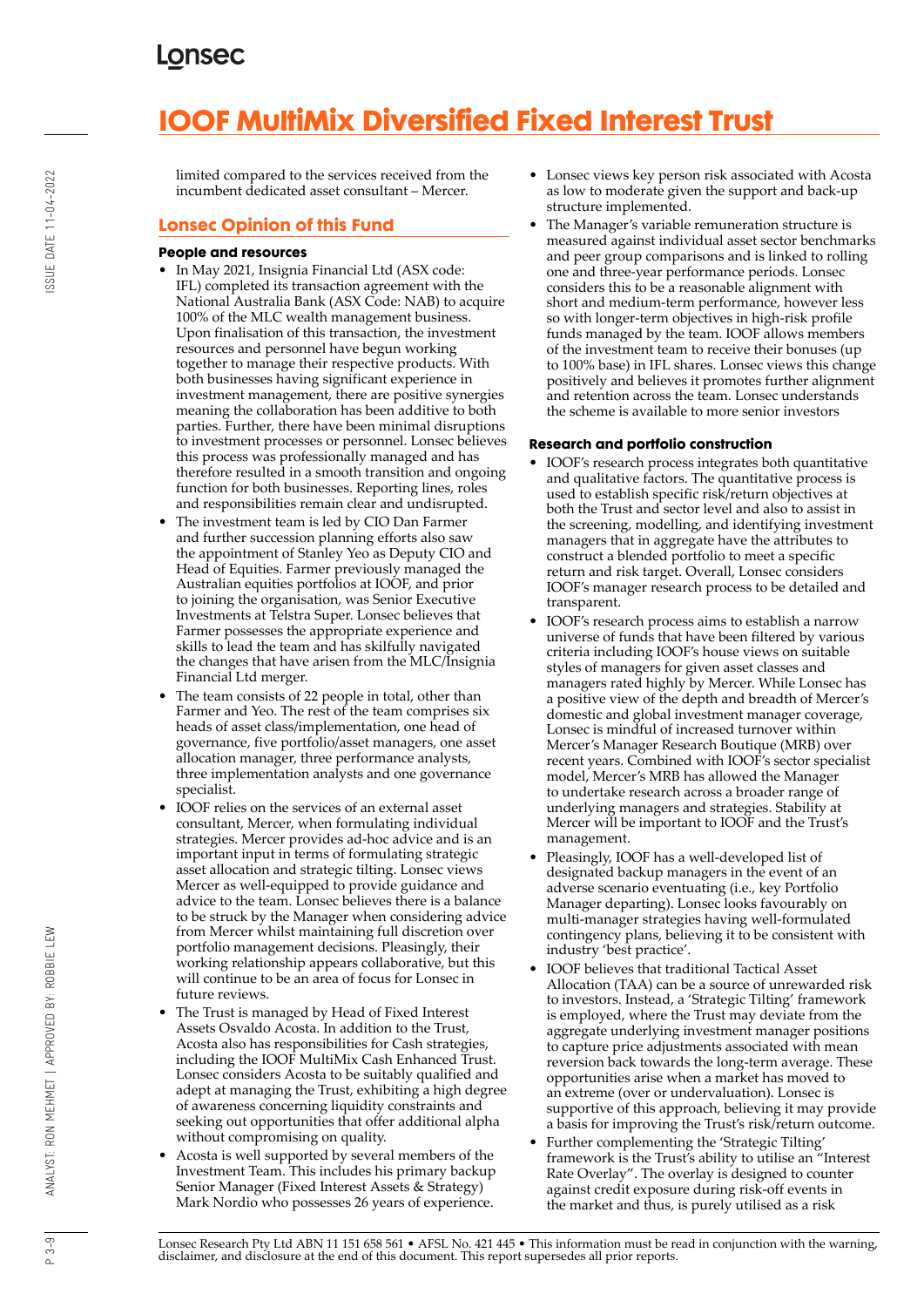# **IOOF MultiMix Diversified Fixed Interest Trust**

limited compared to the services received from the incumbent dedicated asset consultant – Mercer.

### **Lonsec Opinion of this Fund**

### **People and resources**

- In May 2021, Insignia Financial Ltd (ASX code: IFL) completed its transaction agreement with the National Australia Bank (ASX Code: NAB) to acquire 100% of the MLC wealth management business. Upon finalisation of this transaction, the investment resources and personnel have begun working together to manage their respective products. With both businesses having significant experience in investment management, there are positive synergies meaning the collaboration has been additive to both parties. Further, there have been minimal disruptions to investment processes or personnel. Lonsec believes this process was professionally managed and has therefore resulted in a smooth transition and ongoing function for both businesses. Reporting lines, roles and responsibilities remain clear and undisrupted.
- The investment team is led by CIO Dan Farmer and further succession planning efforts also saw the appointment of Stanley Yeo as Deputy CIO and Head of Equities. Farmer previously managed the Australian equities portfolios at IOOF, and prior to joining the organisation, was Senior Executive Investments at Telstra Super. Lonsec believes that Farmer possesses the appropriate experience and skills to lead the team and has skilfully navigated the changes that have arisen from the MLC/Insignia Financial Ltd merger.
- The team consists of 22 people in total, other than Farmer and Yeo. The rest of the team comprises six heads of asset class/implementation, one head of governance, five portfolio/asset managers, one asset allocation manager, three performance analysts, three implementation analysts and one governance specialist.
- IOOF relies on the services of an external asset consultant, Mercer, when formulating individual strategies. Mercer provides ad-hoc advice and is an important input in terms of formulating strategic asset allocation and strategic tilting. Lonsec views Mercer as well-equipped to provide guidance and advice to the team. Lonsec believes there is a balance to be struck by the Manager when considering advice from Mercer whilst maintaining full discretion over portfolio management decisions. Pleasingly, their working relationship appears collaborative, but this will continue to be an area of focus for Lonsec in future reviews.
- The Trust is managed by Head of Fixed Interest Assets Osvaldo Acosta. In addition to the Trust, Acosta also has responsibilities for Cash strategies, including the IOOF MultiMix Cash Enhanced Trust. Lonsec considers Acosta to be suitably qualified and adept at managing the Trust, exhibiting a high degree of awareness concerning liquidity constraints and seeking out opportunities that offer additional alpha without compromising on quality.
- Acosta is well supported by several members of the Investment Team. This includes his primary backup Senior Manager (Fixed Interest Assets & Strategy) Mark Nordio who possesses 26 years of experience.
- Lonsec views key person risk associated with Acosta as low to moderate given the support and back-up structure implemented.
- The Manager's variable remuneration structure is measured against individual asset sector benchmarks and peer group comparisons and is linked to rolling one and three-year performance periods. Lonsec considers this to be a reasonable alignment with short and medium-term performance, however less so with longer-term objectives in high-risk profile funds managed by the team. IOOF allows members of the investment team to receive their bonuses (up to 100% base) in IFL shares. Lonsec views this change positively and believes it promotes further alignment and retention across the team. Lonsec understands the scheme is available to more senior investors

### **Research and portfolio construction**

- IOOF's research process integrates both quantitative and qualitative factors. The quantitative process is used to establish specific risk/return objectives at both the Trust and sector level and also to assist in the screening, modelling, and identifying investment managers that in aggregate have the attributes to construct a blended portfolio to meet a specific return and risk target. Overall, Lonsec considers IOOF's manager research process to be detailed and transparent.
- IOOF's research process aims to establish a narrow universe of funds that have been filtered by various criteria including IOOF's house views on suitable styles of managers for given asset classes and managers rated highly by Mercer. While Lonsec has a positive view of the depth and breadth of Mercer's domestic and global investment manager coverage, Lonsec is mindful of increased turnover within Mercer's Manager Research Boutique (MRB) over recent years. Combined with IOOF's sector specialist model, Mercer's MRB has allowed the Manager to undertake research across a broader range of underlying managers and strategies. Stability at Mercer will be important to IOOF and the Trust's management.
- Pleasingly, IOOF has a well-developed list of designated backup managers in the event of an adverse scenario eventuating (i.e., key Portfolio Manager departing). Lonsec looks favourably on multi-manager strategies having well-formulated contingency plans, believing it to be consistent with industry 'best practice'.
- IOOF believes that traditional Tactical Asset Allocation (TAA) can be a source of unrewarded risk to investors. Instead, a 'Strategic Tilting' framework is employed, where the Trust may deviate from the aggregate underlying investment manager positions to capture price adjustments associated with mean reversion back towards the long-term average. These opportunities arise when a market has moved to an extreme (over or undervaluation). Lonsec is supportive of this approach, believing it may provide a basis for improving the Trust's risk/return outcome.
- Further complementing the 'Strategic Tilting' framework is the Trust's ability to utilise an "Interest Rate Overlay". The overlay is designed to counter against credit exposure during risk-off events in the market and thus, is purely utilised as a risk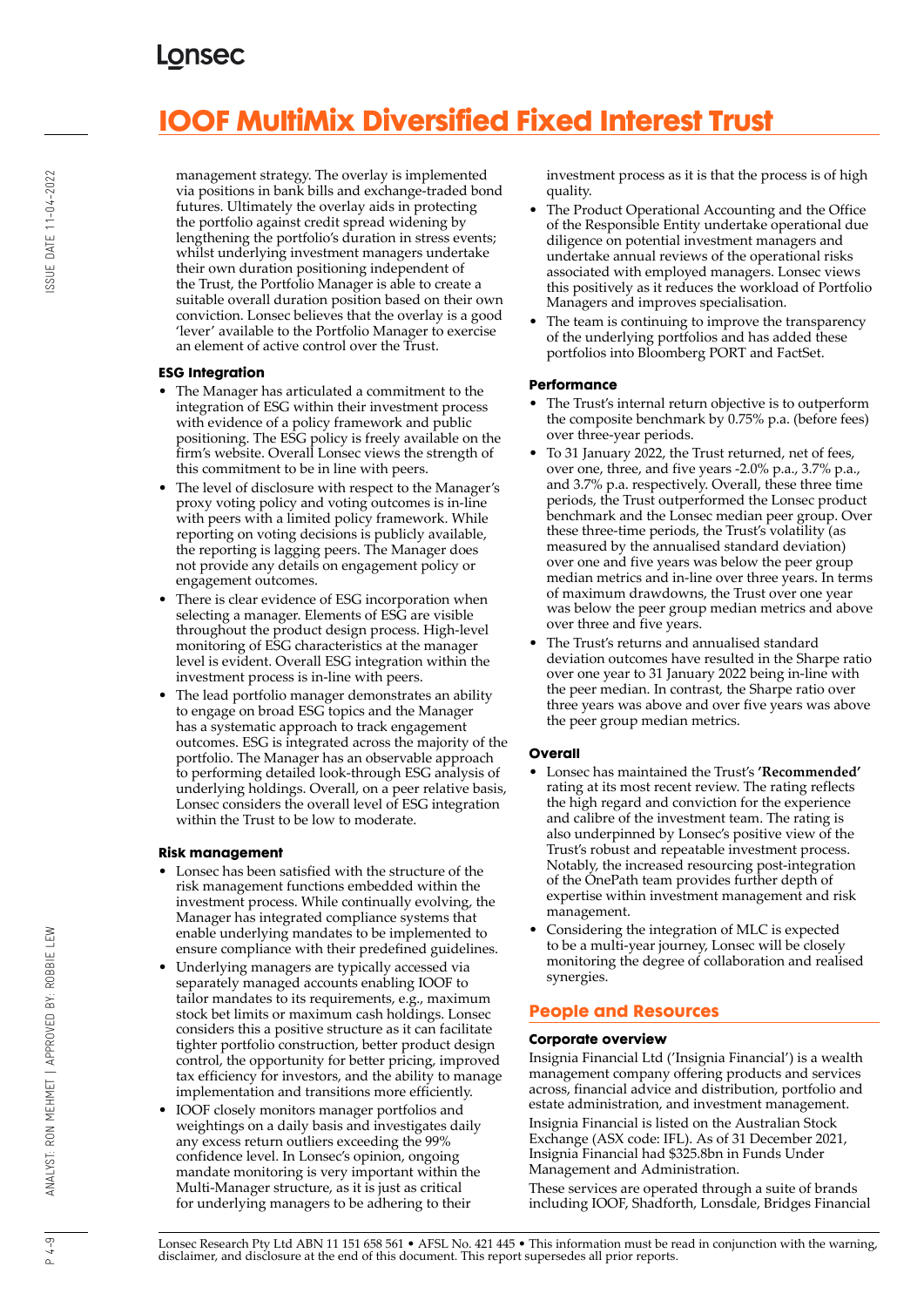# **IOOF MultiMix Diversified Fixed Interest Trust**

ISSUE DATE 11-04-2022

management strategy. The overlay is implemented via positions in bank bills and exchange-traded bond futures. Ultimately the overlay aids in protecting the portfolio against credit spread widening by lengthening the portfolio's duration in stress events; whilst underlying investment managers undertake their own duration positioning independent of the Trust, the Portfolio Manager is able to create a suitable overall duration position based on their own conviction. Lonsec believes that the overlay is a good 'lever' available to the Portfolio Manager to exercise an element of active control over the Trust.

### **ESG Integration**

- The Manager has articulated a commitment to the integration of ESG within their investment process with evidence of a policy framework and public positioning. The ESG policy is freely available on the firm's website. Overall Lonsec views the strength of this commitment to be in line with peers.
- The level of disclosure with respect to the Manager's proxy voting policy and voting outcomes is in-line with peers with a limited policy framework. While reporting on voting decisions is publicly available, the reporting is lagging peers. The Manager does not provide any details on engagement policy or engagement outcomes.
- There is clear evidence of ESG incorporation when selecting a manager. Elements of ESG are visible throughout the product design process. High-level monitoring of ESG characteristics at the manager level is evident. Overall ESG integration within the investment process is in-line with peers.
- The lead portfolio manager demonstrates an ability to engage on broad ESG topics and the Manager has a systematic approach to track engagement outcomes. ESG is integrated across the majority of the portfolio. The Manager has an observable approach to performing detailed look-through ESG analysis of underlying holdings. Overall, on a peer relative basis, Lonsec considers the overall level of ESG integration within the Trust to be low to moderate.

### **Risk management**

- Lonsec has been satisfied with the structure of the risk management functions embedded within the investment process. While continually evolving, the Manager has integrated compliance systems that enable underlying mandates to be implemented to ensure compliance with their predefined guidelines.
- Underlying managers are typically accessed via separately managed accounts enabling IOOF to tailor mandates to its requirements, e.g., maximum stock bet limits or maximum cash holdings. Lonsec considers this a positive structure as it can facilitate tighter portfolio construction, better product design control, the opportunity for better pricing, improved tax efficiency for investors, and the ability to manage implementation and transitions more efficiently.
- IOOF closely monitors manager portfolios and weightings on a daily basis and investigates daily any excess return outliers exceeding the 99% confidence level. In Lonsec's opinion, ongoing mandate monitoring is very important within the Multi-Manager structure, as it is just as critical for underlying managers to be adhering to their

investment process as it is that the process is of high quality.

- The Product Operational Accounting and the Office of the Responsible Entity undertake operational due diligence on potential investment managers and undertake annual reviews of the operational risks associated with employed managers. Lonsec views this positively as it reduces the workload of Portfolio Managers and improves specialisation.
- The team is continuing to improve the transparency of the underlying portfolios and has added these portfolios into Bloomberg PORT and FactSet.

### **Performance**

- The Trust's internal return objective is to outperform the composite benchmark by 0.75% p.a. (before fees) over three-year periods.
- To 31 January 2022, the Trust returned, net of fees, over one, three, and five years -2.0% p.a., 3.7% p.a., and 3.7% p.a. respectively. Overall, these three time periods, the Trust outperformed the Lonsec product benchmark and the Lonsec median peer group. Over these three-time periods, the Trust's volatility (as measured by the annualised standard deviation) over one and five years was below the peer group median metrics and in-line over three years. In terms of maximum drawdowns, the Trust over one year was below the peer group median metrics and above over three and five years.
- The Trust's returns and annualised standard deviation outcomes have resulted in the Sharpe ratio over one year to 31 January 2022 being in-line with the peer median. In contrast, the Sharpe ratio over three years was above and over five years was above the peer group median metrics.

### **Overall**

- Lonsec has maintained the Trust's **'Recommended'** rating at its most recent review. The rating reflects the high regard and conviction for the experience and calibre of the investment team. The rating is also underpinned by Lonsec's positive view of the Trust's robust and repeatable investment process. Notably, the increased resourcing post-integration of the OnePath team provides further depth of expertise within investment management and risk management.
- Considering the integration of MLC is expected to be a multi-year journey, Lonsec will be closely monitoring the degree of collaboration and realised synergies.

### **People and Resources**

### **Corporate overview**

Insignia Financial Ltd ('Insignia Financial') is a wealth management company offering products and services across, financial advice and distribution, portfolio and estate administration, and investment management. Insignia Financial is listed on the Australian Stock Exchange (ASX code: IFL). As of 31 December 2021, Insignia Financial had \$325.8bn in Funds Under Management and Administration.

These services are operated through a suite of brands including IOOF, Shadforth, Lonsdale, Bridges Financial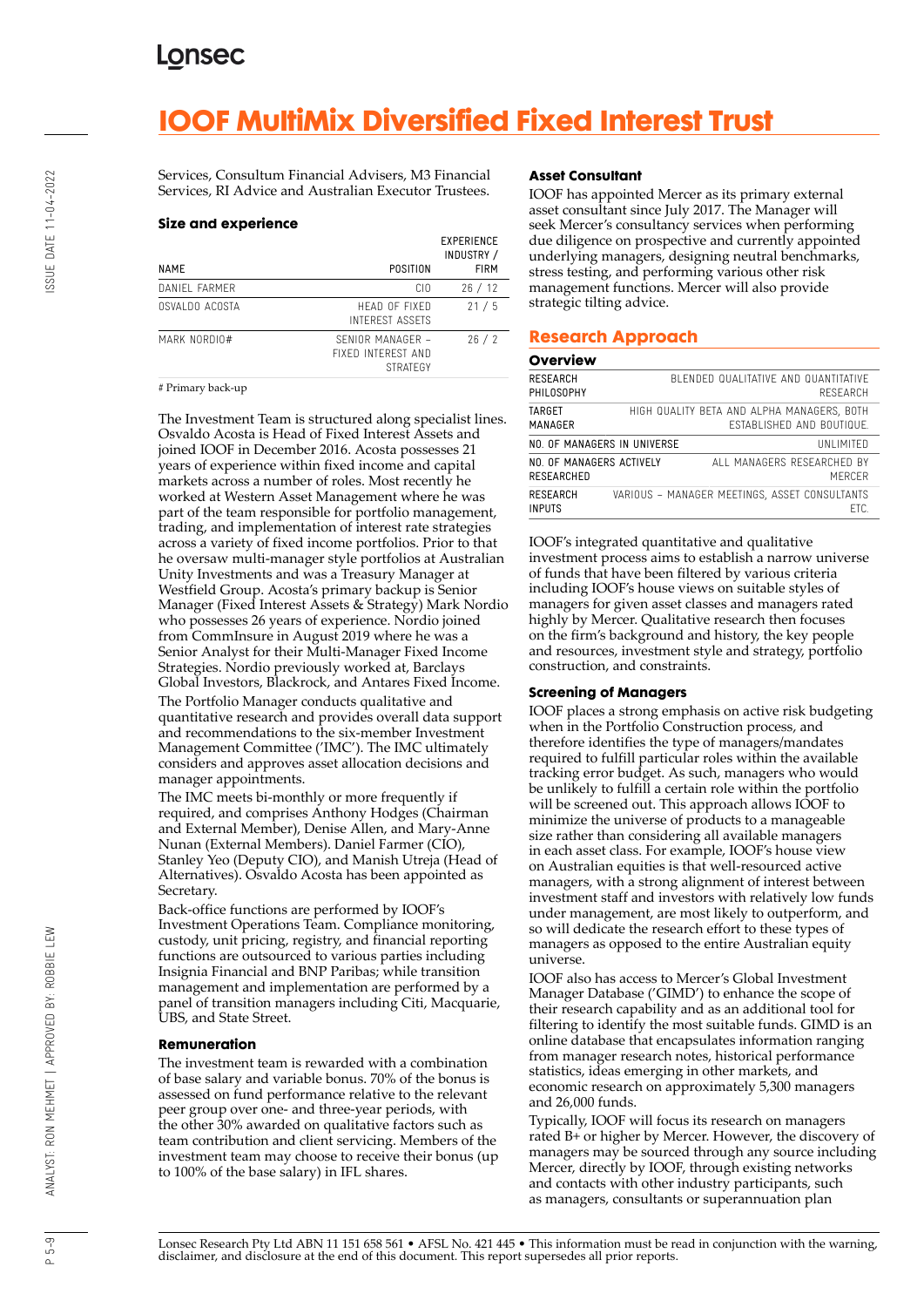## **IOOF MultiMix Diversified Fixed Interest Trust**

Services, Consultum Financial Advisers, M3 Financial Services, RI Advice and Australian Executor Trustees.

#### **Size and experience**

| NAME           | POSITION                                                  | <b>EXPERIENCE</b><br>INDUSTRY /<br><b>FIRM</b> |
|----------------|-----------------------------------------------------------|------------------------------------------------|
| DANIEL FARMER  | CIO.                                                      | 26/12                                          |
| OSVALDO ACOSTA | HEAD OF FIXED<br><b>INTEREST ASSETS</b>                   | 21/5                                           |
| MARK NORDIO#   | SFNIOR MANAGER -<br>FIXED INTEREST AND<br><b>STRATEGY</b> | 26/2                                           |

# Primary back-up

The Investment Team is structured along specialist lines. Osvaldo Acosta is Head of Fixed Interest Assets and joined IOOF in December 2016. Acosta possesses 21 years of experience within fixed income and capital markets across a number of roles. Most recently he worked at Western Asset Management where he was part of the team responsible for portfolio management, trading, and implementation of interest rate strategies across a variety of fixed income portfolios. Prior to that he oversaw multi-manager style portfolios at Australian Unity Investments and was a Treasury Manager at Westfield Group. Acosta's primary backup is Senior Manager (Fixed Interest Assets & Strategy) Mark Nordio who possesses 26 years of experience. Nordio joined from CommInsure in August 2019 where he was a Senior Analyst for their Multi-Manager Fixed Income Strategies. Nordio previously worked at, Barclays Global Investors, Blackrock, and Antares Fixed Income. The Portfolio Manager conducts qualitative and quantitative research and provides overall data support and recommendations to the six-member Investment Management Committee ('IMC'). The IMC ultimately considers and approves asset allocation decisions and manager appointments.

The IMC meets bi-monthly or more frequently if required, and comprises Anthony Hodges (Chairman and External Member), Denise Allen, and Mary-Anne Nunan (External Members). Daniel Farmer (CIO), Stanley Yeo (Deputy CIO), and Manish Utreja (Head of Alternatives). Osvaldo Acosta has been appointed as Secretary.

Back-office functions are performed by IOOF's Investment Operations Team. Compliance monitoring, custody, unit pricing, registry, and financial reporting functions are outsourced to various parties including Insignia Financial and BNP Paribas; while transition management and implementation are performed by a panel of transition managers including Citi, Macquarie, UBS, and State Street.

### **Remuneration**

The investment team is rewarded with a combination of base salary and variable bonus. 70% of the bonus is assessed on fund performance relative to the relevant peer group over one- and three-year periods, with the other 30% awarded on qualitative factors such as team contribution and client servicing. Members of the investment team may choose to receive their bonus (up to 100% of the base salary) in IFL shares.

### **Asset Consultant**

IOOF has appointed Mercer as its primary external asset consultant since July 2017. The Manager will seek Mercer's consultancy services when performing due diligence on prospective and currently appointed underlying managers, designing neutral benchmarks, stress testing, and performing various other risk management functions. Mercer will also provide strategic tilting advice.

### **Research Approach**

#### **Overview**

| <b>RESEARCH</b><br>PHILOSOPHY          |  | BLENDED QUALITATIVE AND QUANTITATIVE<br>RESEARCH                               |
|----------------------------------------|--|--------------------------------------------------------------------------------|
| TARGET<br>MANAGER                      |  | HIGH QUALITY BETA AND ALPHA MANAGERS, BOTH<br><b>FSTABLISHED AND BOUTIQUE.</b> |
| NO. OF MANAGERS IN UNIVERSE            |  | UNI IMITED                                                                     |
| NO. OF MANAGERS ACTIVELY<br>RESEARCHED |  | ALL MANAGERS RESEARCHED BY<br>MFRCFR                                           |
| <b>RESEARCH</b><br><b>INPUTS</b>       |  | VARIOUS - MANAGER MEETINGS, ASSET CONSULTANTS<br>FTC.                          |

IOOF's integrated quantitative and qualitative investment process aims to establish a narrow universe of funds that have been filtered by various criteria including IOOF's house views on suitable styles of managers for given asset classes and managers rated highly by Mercer. Qualitative research then focuses on the firm's background and history, the key people and resources, investment style and strategy, portfolio construction, and constraints.

#### **Screening of Managers**

IOOF places a strong emphasis on active risk budgeting when in the Portfolio Construction process, and therefore identifies the type of managers/mandates required to fulfill particular roles within the available tracking error budget. As such, managers who would be unlikely to fulfill a certain role within the portfolio will be screened out. This approach allows IOOF to minimize the universe of products to a manageable size rather than considering all available managers in each asset class. For example, IOOF's house view on Australian equities is that well-resourced active managers, with a strong alignment of interest between investment staff and investors with relatively low funds under management, are most likely to outperform, and so will dedicate the research effort to these types of managers as opposed to the entire Australian equity universe.

IOOF also has access to Mercer's Global Investment Manager Database ('GIMD') to enhance the scope of their research capability and as an additional tool for filtering to identify the most suitable funds. GIMD is an online database that encapsulates information ranging from manager research notes, historical performance statistics, ideas emerging in other markets, and economic research on approximately 5,300 managers and 26,000 funds.

Typically, IOOF will focus its research on managers rated B+ or higher by Mercer. However, the discovery of managers may be sourced through any source including Mercer, directly by IOOF, through existing networks and contacts with other industry participants, such as managers, consultants or superannuation plan

 $\alpha$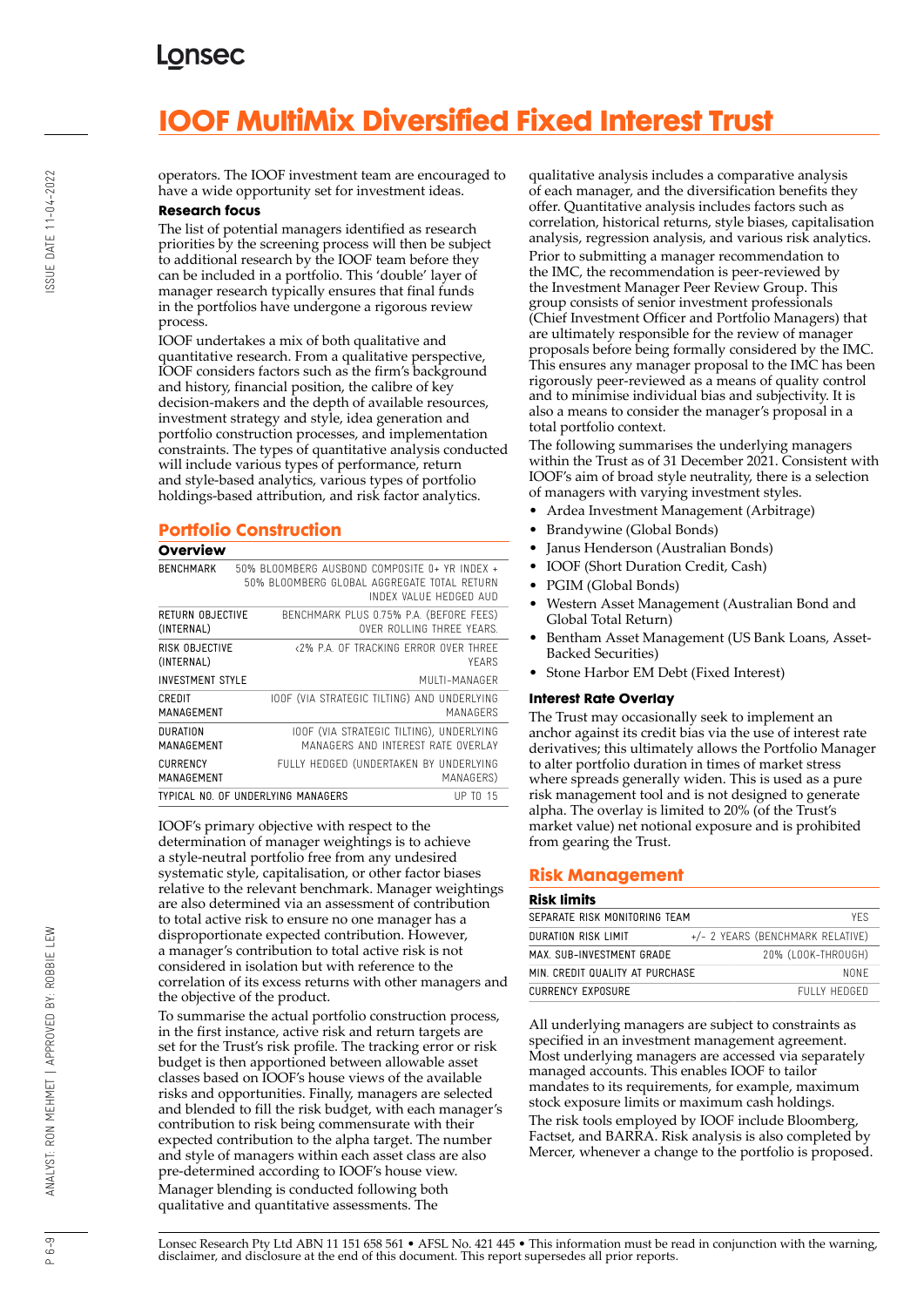# **IOOF MultiMix Diversified Fixed Interest Trust**

operators. The IOOF investment team are encouraged to have a wide opportunity set for investment ideas.

### **Research focus**

The list of potential managers identified as research priorities by the screening process will then be subject to additional research by the IOOF team before they can be included in a portfolio. This 'double' layer of manager research typically ensures that final funds in the portfolios have undergone a rigorous review process.

IOOF undertakes a mix of both qualitative and quantitative research. From a qualitative perspective, IOOF considers factors such as the firm's background and history, financial position, the calibre of key decision-makers and the depth of available resources, investment strategy and style, idea generation and portfolio construction processes, and implementation constraints. The types of quantitative analysis conducted will include various types of performance, return and style-based analytics, various types of portfolio holdings-based attribution, and risk factor analytics.

### **Portfolio Construction**

#### **Overview**

| Overview                       |                                                                                              |                           |
|--------------------------------|----------------------------------------------------------------------------------------------|---------------------------|
| <b>RENCHMARK</b>               | 50% BLOOMBERG AUSBOND COMPOSITE 0+ YR INDEX +<br>50% BLOOMBERG GLOBAL AGGREGATE TOTAL RETURN | INDEX VALUE HEDGED AUD    |
| RETURN OBJECTIVE<br>(INTERNAL) | BENCHMARK PLUS 0.75% P.A. (BEFORE FEES)                                                      | OVER ROLLING THREE YEARS. |
| RISK OBJECTIVE<br>(INTERNAL)   | <2% P.A. OF TRACKING ERROR OVER THREE                                                        | YFARS                     |
| <b>INVESTMENT STYLE</b>        |                                                                                              | MUITI-MANAGER             |
| CREDIT<br>MANAGFMFNT           | TOOF (VIA STRATEGIC TILTING) AND UNDERLYING                                                  | MANAGERS                  |
| DURATION<br>MANAGEMENT         | IOOF (VIA STRATEGIC TILTING). UNDERLYING<br>MANAGERS AND INTEREST RATE OVERLAY               |                           |
| <b>CURRENCY</b><br>MANAGEMENT  | FULLY HEDGED (UNDERTAKEN BY UNDERLYING                                                       | MANAGERS)                 |
|                                | TYPICAL NO. OF UNDERLYING MANAGERS                                                           | UP TO 15                  |

IOOF's primary objective with respect to the determination of manager weightings is to achieve a style-neutral portfolio free from any undesired systematic style, capitalisation, or other factor biases relative to the relevant benchmark. Manager weightings are also determined via an assessment of contribution to total active risk to ensure no one manager has a disproportionate expected contribution. However, a manager's contribution to total active risk is not considered in isolation but with reference to the correlation of its excess returns with other managers and the objective of the product.

To summarise the actual portfolio construction process, in the first instance, active risk and return targets are set for the Trust's risk profile. The tracking error or risk budget is then apportioned between allowable asset classes based on IOOF's house views of the available risks and opportunities. Finally, managers are selected and blended to fill the risk budget, with each manager's contribution to risk being commensurate with their expected contribution to the alpha target. The number and style of managers within each asset class are also pre-determined according to IOOF's house view. Manager blending is conducted following both qualitative and quantitative assessments. The

qualitative analysis includes a comparative analysis of each manager, and the diversification benefits they offer. Quantitative analysis includes factors such as correlation, historical returns, style biases, capitalisation analysis, regression analysis, and various risk analytics.

Prior to submitting a manager recommendation to the IMC, the recommendation is peer-reviewed by the Investment Manager Peer Review Group. This group consists of senior investment professionals (Chief Investment Officer and Portfolio Managers) that are ultimately responsible for the review of manager proposals before being formally considered by the IMC. This ensures any manager proposal to the IMC has been rigorously peer-reviewed as a means of quality control and to minimise individual bias and subjectivity. It is also a means to consider the manager's proposal in a total portfolio context.

The following summarises the underlying managers within the Trust as of 31 December 2021. Consistent with IOOF's aim of broad style neutrality, there is a selection of managers with varying investment styles.

- Ardea Investment Management (Arbitrage)
- Brandywine (Global Bonds)
- Janus Henderson (Australian Bonds)
- IOOF (Short Duration Credit, Cash)
- PGIM (Global Bonds)
- Western Asset Management (Australian Bond and Global Total Return)
- Bentham Asset Management (US Bank Loans, Asset-Backed Securities)
- Stone Harbor EM Debt (Fixed Interest)

#### **Interest Rate Overlay**

The Trust may occasionally seek to implement an anchor against its credit bias via the use of interest rate derivatives; this ultimately allows the Portfolio Manager to alter portfolio duration in times of market stress where spreads generally widen. This is used as a pure risk management tool and is not designed to generate alpha. The overlay is limited to 20% (of the Trust's market value) net notional exposure and is prohibited from gearing the Trust.

### **Risk Management**

#### **Risk limits**

| SEPARATE RISK MONITORING TEAM<br>YFS.           |                                  |  |  |
|-------------------------------------------------|----------------------------------|--|--|
| DURATION RISK LIMIT                             | +/- 2 YEARS (BENCHMARK RELATIVE) |  |  |
| 20% (LOOK-THROUGH)<br>MAX. SUB-INVESTMENT GRADE |                                  |  |  |
| MIN. CREDIT QUALITY AT PURCHASE                 | NONF                             |  |  |
| CURRENCY EXPOSURE                               | FULLY HEDGED                     |  |  |

All underlying managers are subject to constraints as specified in an investment management agreement. Most underlying managers are accessed via separately managed accounts. This enables IOOF to tailor mandates to its requirements, for example, maximum stock exposure limits or maximum cash holdings. The risk tools employed by IOOF include Bloomberg, Factset, and BARRA. Risk analysis is also completed by Mercer, whenever a change to the portfolio is proposed.

Lonsec Research Pty Ltd ABN 11 151 658 561 • AFSL No. 421 445 • This information must be read in conjunction with the warning, disclaimer, and disclosure at the end of this document. This report supersedes all prior reports.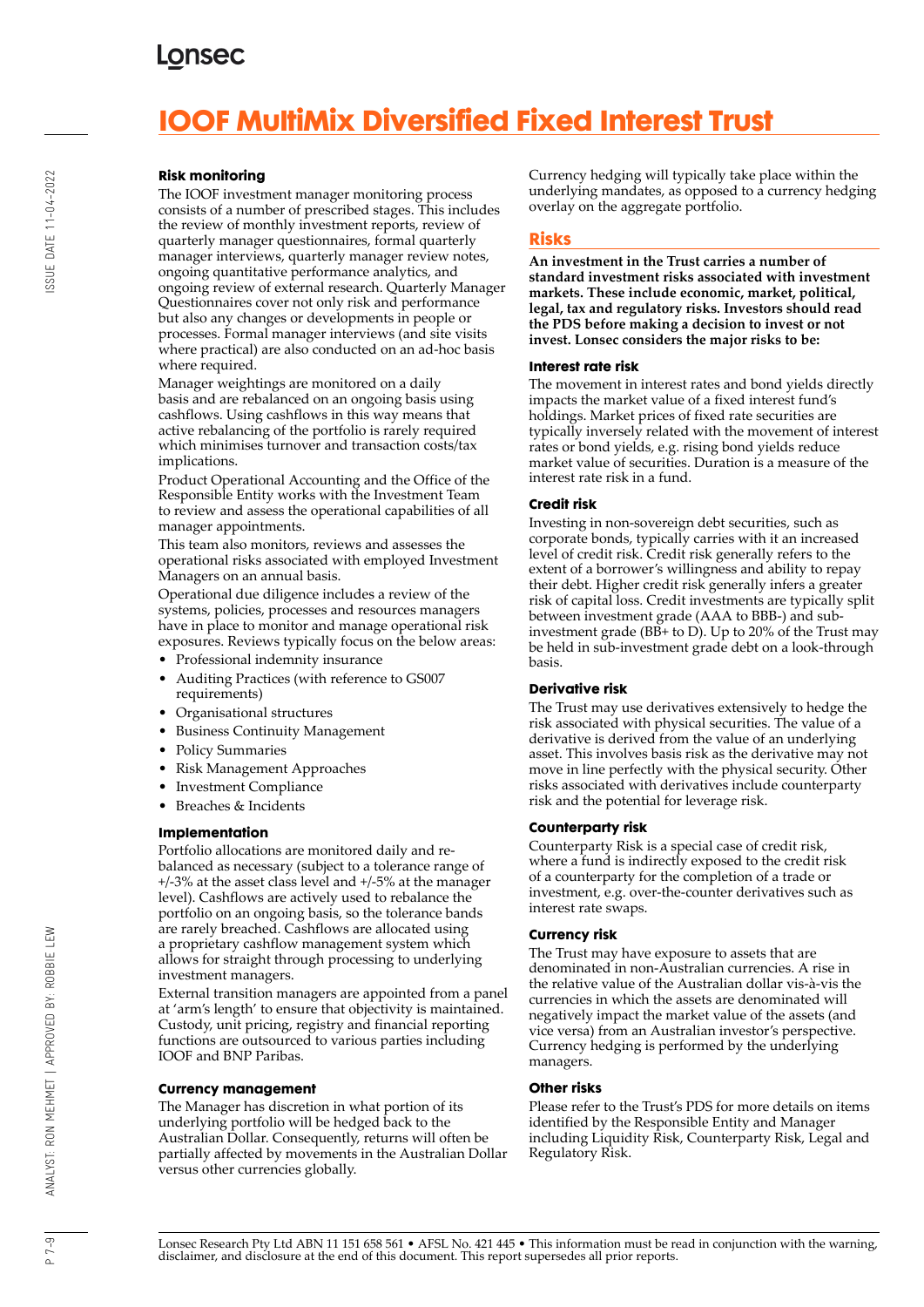# **IOOF MultiMix Diversified Fixed Interest Trust**

### **Risk monitoring**

The IOOF investment manager monitoring process consists of a number of prescribed stages. This includes the review of monthly investment reports, review of quarterly manager questionnaires, formal quarterly manager interviews, quarterly manager review notes, ongoing quantitative performance analytics, and ongoing review of external research. Quarterly Manager Questionnaires cover not only risk and performance but also any changes or developments in people or processes. Formal manager interviews (and site visits where practical) are also conducted on an ad-hoc basis where required.

Manager weightings are monitored on a daily basis and are rebalanced on an ongoing basis using cashflows. Using cashflows in this way means that active rebalancing of the portfolio is rarely required which minimises turnover and transaction costs/tax implications.

Product Operational Accounting and the Office of the Responsible Entity works with the Investment Team to review and assess the operational capabilities of all manager appointments.

This team also monitors, reviews and assesses the operational risks associated with employed Investment Managers on an annual basis.

Operational due diligence includes a review of the systems, policies, processes and resources managers have in place to monitor and manage operational risk exposures. Reviews typically focus on the below areas:

- Professional indemnity insurance
- Auditing Practices (with reference to GS007 requirements)
- Organisational structures
- Business Continuity Management
- Policy Summaries
- Risk Management Approaches
- Investment Compliance
- Breaches & Incidents

### **Implementation**

Portfolio allocations are monitored daily and rebalanced as necessary (subject to a tolerance range of +/-3% at the asset class level and +/-5% at the manager level). Cashflows are actively used to rebalance the portfolio on an ongoing basis, so the tolerance bands are rarely breached. Cashflows are allocated using a proprietary cashflow management system which allows for straight through processing to underlying investment managers.

External transition managers are appointed from a panel at 'arm's length' to ensure that objectivity is maintained. Custody, unit pricing, registry and financial reporting functions are outsourced to various parties including IOOF and BNP Paribas.

### **Currency management**

The Manager has discretion in what portion of its underlying portfolio will be hedged back to the Australian Dollar. Consequently, returns will often be partially affected by movements in the Australian Dollar versus other currencies globally.

Currency hedging will typically take place within the underlying mandates, as opposed to a currency hedging overlay on the aggregate portfolio.

### **Risks**

**An investment in the Trust carries a number of standard investment risks associated with investment markets. These include economic, market, political, legal, tax and regulatory risks. Investors should read the PDS before making a decision to invest or not invest. Lonsec considers the major risks to be:**

#### **Interest rate risk**

The movement in interest rates and bond yields directly impacts the market value of a fixed interest fund's holdings. Market prices of fixed rate securities are typically inversely related with the movement of interest rates or bond yields, e.g. rising bond yields reduce market value of securities. Duration is a measure of the interest rate risk in a fund.

### **Credit risk**

Investing in non-sovereign debt securities, such as corporate bonds, typically carries with it an increased level of credit risk. Credit risk generally refers to the extent of a borrower's willingness and ability to repay their debt. Higher credit risk generally infers a greater risk of capital loss. Credit investments are typically split between investment grade (AAA to BBB-) and subinvestment grade ( $\overline{BB+}$  to D). Up to 20% of the Trust may be held in sub-investment grade debt on a look-through basis.

### **Derivative risk**

The Trust may use derivatives extensively to hedge the risk associated with physical securities. The value of a derivative is derived from the value of an underlying asset. This involves basis risk as the derivative may not move in line perfectly with the physical security. Other risks associated with derivatives include counterparty risk and the potential for leverage risk.

### **Counterparty risk**

Counterparty Risk is a special case of credit risk, where a fund is indirectly exposed to the credit risk of a counterparty for the completion of a trade or investment, e.g. over-the-counter derivatives such as interest rate swaps.

### **Currency risk**

The Trust may have exposure to assets that are denominated in non-Australian currencies. A rise in the relative value of the Australian dollar vis-à-vis the currencies in which the assets are denominated will negatively impact the market value of the assets (and vice versa) from an Australian investor's perspective. Currency hedging is performed by the underlying managers.

#### **Other risks**

Please refer to the Trust's PDS for more details on items identified by the Responsible Entity and Manager including Liquidity Risk, Counterparty Risk, Legal and Regulatory Risk.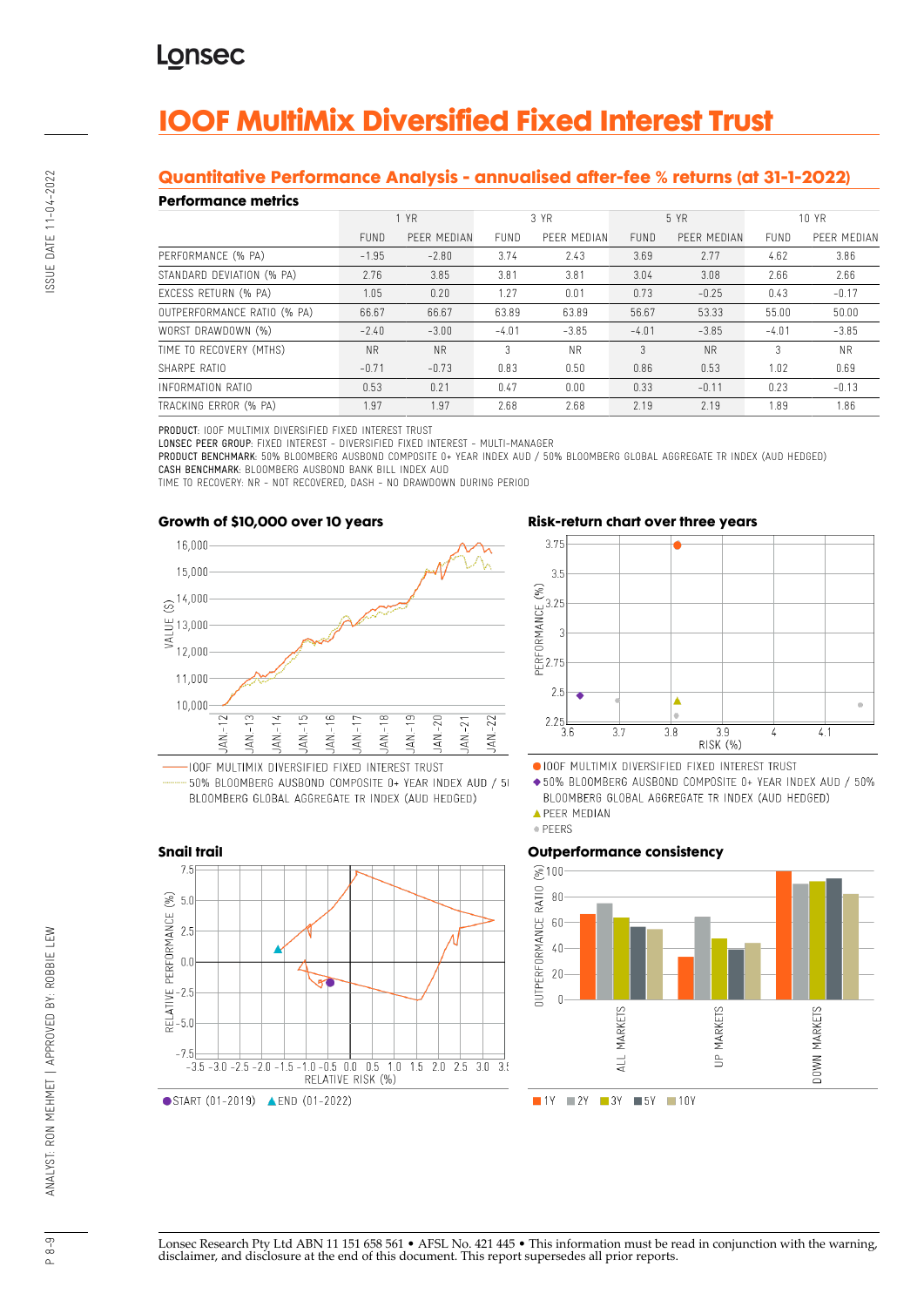# **IOOF MultiMix Diversified Fixed Interest Trust**

### **Quantitative Performance Analysis - annualised after-fee % returns (at 31-1-2022)**

### **Performance metrics**

| *************************   |             |             |             |             |             |             |             |             |
|-----------------------------|-------------|-------------|-------------|-------------|-------------|-------------|-------------|-------------|
|                             | 1 YR        |             | 3 YR        |             | 5 YR        |             | 10 YR       |             |
|                             | <b>FUND</b> | PEER MEDIAN | <b>FUND</b> | PEER MEDIAN | <b>FUND</b> | PFFR MEDIAN | <b>FUND</b> | PEER MEDIAN |
| PERFORMANCE (% PA)          | $-1.95$     | $-2.80$     | 3.74        | 2.43        | 3.69        | 2.77        | 4.62        | 3.86        |
| STANDARD DEVIATION (% PA)   | 2.76        | 3.85        | 3.81        | 3.81        | 3.04        | 3.08        | 2.66        | 2.66        |
| EXCESS RETURN (% PA)        | 1.05        | 0.20        | 1.27        | 0.01        | 0.73        | $-0.25$     | 0.43        | $-0.17$     |
| OUTPERFORMANCE RATIO (% PA) | 66.67       | 66.67       | 63.89       | 63.89       | 56.67       | 53.33       | 55.00       | 50.00       |
| WORST DRAWDOWN (%)          | $-2.40$     | $-3.00$     | $-4.01$     | $-3.85$     | $-4.01$     | $-3.85$     | $-4.01$     | $-3.85$     |
| TIME TO RECOVERY (MTHS)     | <b>NR</b>   | <b>NR</b>   | 3           | <b>NR</b>   | 3           | <b>NR</b>   | 3           | <b>NR</b>   |
| SHARPF RATIO                | $-0.71$     | $-0.73$     | 0.83        | 0.50        | 0.86        | 0.53        | 1.02        | 0.69        |
| INFORMATION RATIO           | 0.53        | 0.21        | 0.47        | 0.00        | 0.33        | $-0.11$     | 0.23        | $-0.13$     |
| TRACKING ERROR (% PA)       | 1.97        | 1.97        | 2.68        | 2.68        | 2.19        | 2.19        | 1.89        | 1.86        |

PRODUCT: IOOF MULTIMIX DIVERSIFIED FIXED INTEREST TRUST

LONSEC PEER GROUP: FIXED INTEREST - DIVERSIFIED FIXED INTEREST - MULTI-MANAGER

PRODUCT BENCHMARK: 50% BLOOMBERG AUSBOND COMPOSITE 0+ YEAR INDEX AUD / 50% BLOOMBERG GLOBAL AGGREGATE TR INDEX (AUD HEDGED) CASH BENCHMARK: BLOOMBERG AUSBOND BANK BILL INDEX AUD

TIME TO RECOVERY: NR - NOT RECOVERED, DASH - NO DRAWDOWN DURING PERIOD



50% BLOOMBERG AUSBOND COMPOSITE 0+ YEAR INDEX AUD / 50 BLOOMBERG GLOBAL AGGREGATE TR INDEX (AUD HEDGED)

 $-1.0$   $-0.5$  0.0 0.5 1.0 1.5 2.0 2.5 3.0 3.

RELATIVE RISK (%)

**Snail trail**

 $7F$ 

 $2.5$ 

 $0.0$ 

 $-2.5$ 

 $-5($  $-7.5$ 

 $-3.\overline{5} - 3.\overline{0} - 2.\overline{5} - 2.\overline{0} - 1.\overline{5}$ 

START (01-2019) **ALEND** (01-2022)

 $(\%)$  $5.0$ 

RELATIVE PERFORMANCE





OIOOF MULTIMIX DIVERSIFIED FIXED INTEREST TRUST

◆50% BLOOMBERG AUSBOND COMPOSITE 0+ YEAR INDEX AUD / 50% BLOOMBERG GLOBAL AGGREGATE TR INDEX (AUD HEDGED)

**APEER MEDIAN** 



### **Outperformance consistency**